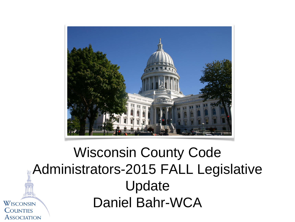

#### Wisconsin County Code Administrators-2015 FALL Legislative Update Daniel Bahr-WCAWISCONSIN **COUNTIES**

**ASSOCIATION**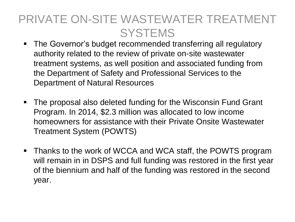## PRIVATE ON-SITE WASTEWATER TREATMENT **SYSTEMS**

- The Governor's budget recommended transferring all regulatory authority related to the review of private on-site wastewater treatment systems, as well position and associated funding from the Department of Safety and Professional Services to the Department of Natural Resources
- The proposal also deleted funding for the Wisconsin Fund Grant Program. In 2014, \$2.3 million was allocated to low income homeowners for assistance with their Private Onsite Wastewater Treatment System (POWTS)
- **Thanks to the work of WCCA and WCA staff, the POWTS program** will remain in in DSPS and full funding was restored in the first year of the biennium and half of the funding was restored in the second year.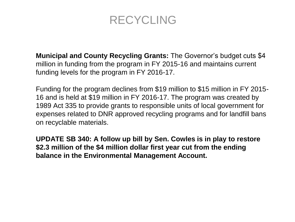### RECYCLING

**Municipal and County Recycling Grants:** The Governor's budget cuts \$4 million in funding from the program in FY 2015-16 and maintains current funding levels for the program in FY 2016-17.

Funding for the program declines from \$19 million to \$15 million in FY 2015- 16 and is held at \$19 million in FY 2016-17. The program was created by 1989 Act 335 to provide grants to responsible units of local government for expenses related to DNR approved recycling programs and for landfill bans on recyclable materials.

**UPDATE SB 340: A follow up bill by Sen. Cowles is in play to restore \$2.3 million of the \$4 million dollar first year cut from the ending balance in the Environmental Management Account.**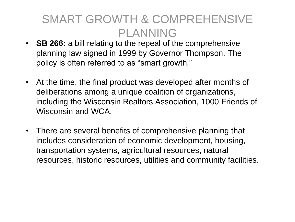### SMART GROWTH & COMPREHENSIVE PLANNING

- **SB 266:** a bill relating to the repeal of the comprehensive planning law signed in 1999 by Governor Thompson. The policy is often referred to as "smart growth."
- At the time, the final product was developed after months of deliberations among a unique coalition of organizations, including the Wisconsin Realtors Association, 1000 Friends of Wisconsin and WCA.
- There are several benefits of comprehensive planning that includes consideration of economic development, housing, transportation systems, agricultural resources, natural resources, historic resources, utilities and community facilities.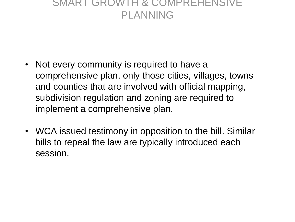#### SMART GROWTH & COMPREHENSIVE PLANNING

- Not every community is required to have a comprehensive plan, only those cities, villages, towns and counties that are involved with official mapping, subdivision regulation and zoning are required to implement a comprehensive plan.
- WCA issued testimony in opposition to the bill. Similar bills to repeal the law are typically introduced each session.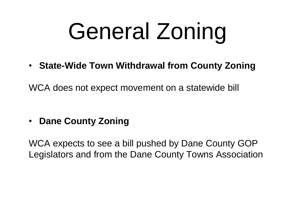# General Zoning

• **State-Wide Town Withdrawal from County Zoning**

WCA does not expect movement on a statewide bill

• **Dane County Zoning**

WCA expects to see a bill pushed by Dane County GOP Legislators and from the Dane County Towns Association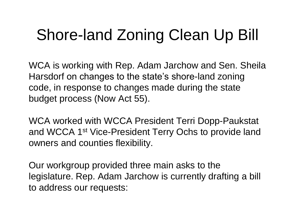## Shore-land Zoning Clean Up Bill

WCA is working with Rep. Adam Jarchow and Sen. Sheila Harsdorf on changes to the state's shore-land zoning code, in response to changes made during the state budget process (Now Act 55).

WCA worked with WCCA President Terri Dopp-Paukstat and WCCA 1st Vice-President Terry Ochs to provide land owners and counties flexibility.

Our workgroup provided three main asks to the legislature. Rep. Adam Jarchow is currently drafting a bill to address our requests: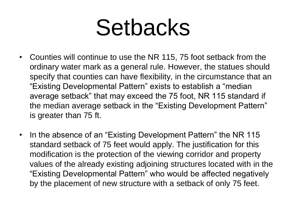## Setbacks

- Counties will continue to use the NR 115, 75 foot setback from the ordinary water mark as a general rule. However, the statues should specify that counties can have flexibility, in the circumstance that an "Existing Developmental Pattern" exists to establish a "median average setback" that may exceed the 75 foot, NR 115 standard if the median average setback in the "Existing Development Pattern" is greater than 75 ft.
- In the absence of an "Existing Development Pattern" the NR 115 standard setback of 75 feet would apply. The justification for this modification is the protection of the viewing corridor and property values of the already existing adjoining structures located with in the "Existing Developmental Pattern" who would be affected negatively by the placement of new structure with a setback of only 75 feet.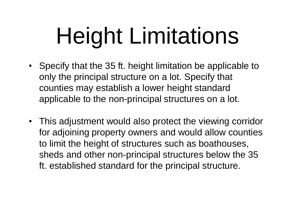# Height Limitations

- Specify that the 35 ft. height limitation be applicable to only the principal structure on a lot. Specify that counties may establish a lower height standard applicable to the non-principal structures on a lot.
- This adjustment would also protect the viewing corridor for adjoining property owners and would allow counties to limit the height of structures such as boathouses, sheds and other non-principal structures below the 35 ft. established standard for the principal structure.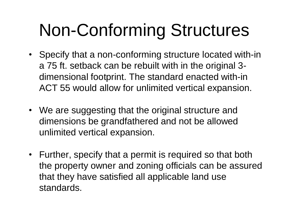## Non-Conforming Structures

- Specify that a non-conforming structure located with-in a 75 ft. setback can be rebuilt with in the original 3 dimensional footprint. The standard enacted with-in ACT 55 would allow for unlimited vertical expansion.
- We are suggesting that the original structure and dimensions be grandfathered and not be allowed unlimited vertical expansion.
- Further, specify that a permit is required so that both the property owner and zoning officials can be assured that they have satisfied all applicable land use standards.